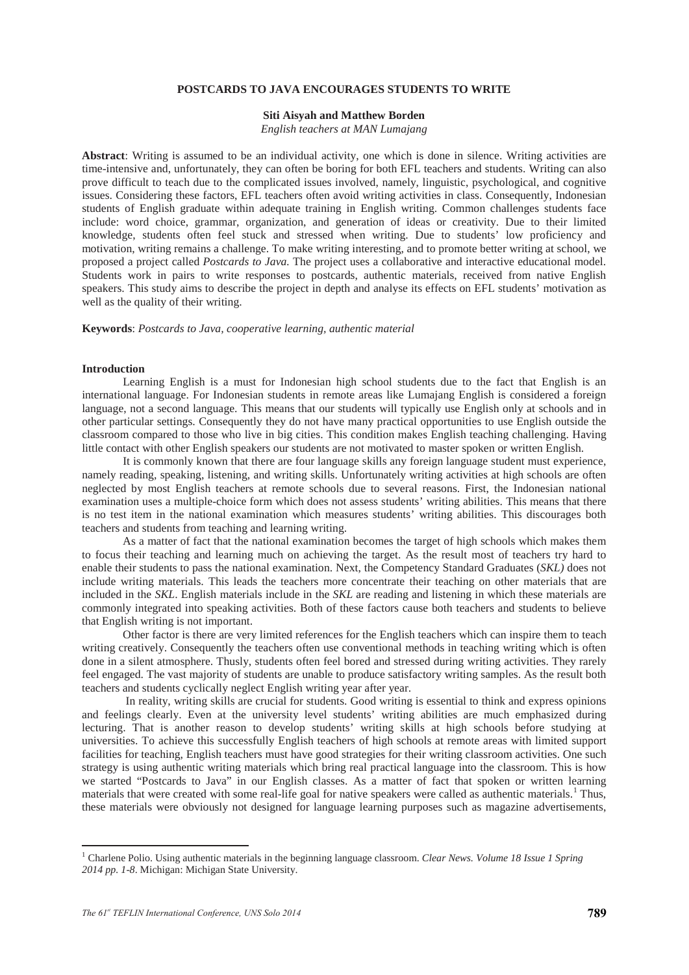# **POSTCARDS TO JAVA ENCOURAGES STUDENTS TO WRITE**

#### **Siti Aisyah and Matthew Borden**

*English teachers at MAN Lumajang*

**Abstract**: Writing is assumed to be an individual activity, one which is done in silence. Writing activities are time-intensive and, unfortunately, they can often be boring for both EFL teachers and students. Writing can also prove difficult to teach due to the complicated issues involved, namely, linguistic, psychological, and cognitive issues. Considering these factors, EFL teachers often avoid writing activities in class. Consequently, Indonesian students of English graduate within adequate training in English writing. Common challenges students face include: word choice, grammar, organization, and generation of ideas or creativity. Due to their limited knowledge, students often feel stuck and stressed when writing. Due to students' low proficiency and motivation, writing remains a challenge. To make writing interesting, and to promote better writing at school, we proposed a project called *Postcards to Java.* The project uses a collaborative and interactive educational model. Students work in pairs to write responses to postcards, authentic materials, received from native English speakers. This study aims to describe the project in depth and analyse its effects on EFL students' motivation as well as the quality of their writing.

**Keywords**: *Postcards to Java, cooperative learning, authentic material*

### **Introduction**

Learning English is a must for Indonesian high school students due to the fact that English is an international language. For Indonesian students in remote areas like Lumajang English is considered a foreign language, not a second language. This means that our students will typically use English only at schools and in other particular settings. Consequently they do not have many practical opportunities to use English outside the classroom compared to those who live in big cities. This condition makes English teaching challenging. Having little contact with other English speakers our students are not motivated to master spoken or written English.

It is commonly known that there are four language skills any foreign language student must experience, namely reading, speaking, listening, and writing skills. Unfortunately writing activities at high schools are often neglected by most English teachers at remote schools due to several reasons. First, the Indonesian national examination uses a multiple-choice form which does not assess students' writing abilities. This means that there is no test item in the national examination which measures students' writing abilities. This discourages both teachers and students from teaching and learning writing.

As a matter of fact that the national examination becomes the target of high schools which makes them to focus their teaching and learning much on achieving the target. As the result most of teachers try hard to enable their students to pass the national examination. Next, the Competency Standard Graduates (*SKL)* does not include writing materials. This leads the teachers more concentrate their teaching on other materials that are included in the *SKL*. English materials include in the *SKL* are reading and listening in which these materials are commonly integrated into speaking activities. Both of these factors cause both teachers and students to believe that English writing is not important.

Other factor is there are very limited references for the English teachers which can inspire them to teach writing creatively. Consequently the teachers often use conventional methods in teaching writing which is often done in a silent atmosphere. Thusly, students often feel bored and stressed during writing activities. They rarely feel engaged. The vast majority of students are unable to produce satisfactory writing samples. As the result both teachers and students cyclically neglect English writing year after year.

In reality, writing skills are crucial for students. Good writing is essential to think and express opinions and feelings clearly. Even at the university level students' writing abilities are much emphasized during lecturing. That is another reason to develop students' writing skills at high schools before studying at universities. To achieve this successfully English teachers of high schools at remote areas with limited support facilities for teaching, English teachers must have good strategies for their writing classroom activities. One such strategy is using authentic writing materials which bring real practical language into the classroom. This is how we started "Postcards to Java" in our English classes. As a matter of fact that spoken or written learning materials that were created with some real-life goal for native speakers were called as authentic materials.<sup>1</sup> Thus, these materials were obviously not designed for language learning purposes such as magazine advertisements,

-

<sup>1</sup> Charlene Polio. Using authentic materials in the beginning language classroom. *Clear News. Volume 18 Issue 1 Spring 2014 pp. 1-8*. Michigan: Michigan State University.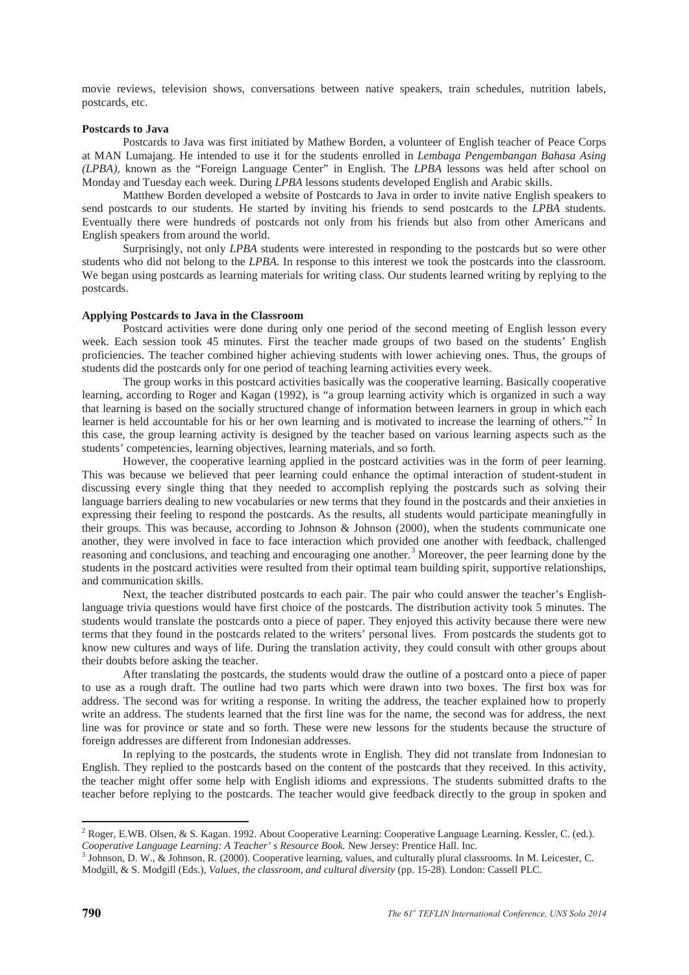movie reviews, television shows, conversations between native speakers, train schedules, nutrition labels, postcards, etc.

#### **Postcards to Java**

Postcards to Java was first initiated by Mathew Borden, a volunteer of English teacher of Peace Corps at MAN Lumajang. He intended to use it for the students enrolled in *Lembaga Pengembangan Bahasa Asing (LPBA),* known as the "Foreign Language Center" in English. The *LPBA* lessons was held after school on Monday and Tuesday each week. During *LPBA* lessons students developed English and Arabic skills.

Matthew Borden developed a website of Postcards to Java in order to invite native English speakers to send postcards to our students. He started by inviting his friends to send postcards to the *LPBA* students. Eventually there were hundreds of postcards not only from his friends but also from other Americans and English speakers from around the world.

Surprisingly, not only *LPBA* students were interested in responding to the postcards but so were other students who did not belong to the *LPBA*. In response to this interest we took the postcards into the classroom. We began using postcards as learning materials for writing class. Our students learned writing by replying to the postcards.

# **Applying Postcards to Java in the Classroom**

Postcard activities were done during only one period of the second meeting of English lesson every week. Each session took 45 minutes. First the teacher made groups of two based on the students' English proficiencies. The teacher combined higher achieving students with lower achieving ones. Thus, the groups of students did the postcards only for one period of teaching learning activities every week.

The group works in this postcard activities basically was the cooperative learning. Basically cooperative learning, according to Roger and Kagan (1992), is "a group learning activity which is organized in such a way that learning is based on the socially structured change of information between learners in group in which each learner is held accountable for his or her own learning and is motivated to increase the learning of others."<sup>2</sup> In this case, the group learning activity is designed by the teacher based on various learning aspects such as the students' competencies, learning objectives, learning materials, and so forth.

However, the cooperative learning applied in the postcard activities was in the form of peer learning. This was because we believed that peer learning could enhance the optimal interaction of student-student in discussing every single thing that they needed to accomplish replying the postcards such as solving their language barriers dealing to new vocabularies or new terms that they found in the postcards and their anxieties in expressing their feeling to respond the postcards. As the results, all students would participate meaningfully in their groups. This was because, according to Johnson & Johnson (2000), when the students communicate one another, they were involved in face to face interaction which provided one another with feedback, challenged reasoning and conclusions, and teaching and encouraging one another.<sup>3</sup> Moreover, the peer learning done by the students in the postcard activities were resulted from their optimal team building spirit, supportive relationships, and communication skills.

Next, the teacher distributed postcards to each pair. The pair who could answer the teacher's Englishlanguage trivia questions would have first choice of the postcards. The distribution activity took 5 minutes. The students would translate the postcards onto a piece of paper. They enjoyed this activity because there were new terms that they found in the postcards related to the writers' personal lives. From postcards the students got to know new cultures and ways of life. During the translation activity, they could consult with other groups about their doubts before asking the teacher.

After translating the postcards, the students would draw the outline of a postcard onto a piece of paper to use as a rough draft. The outline had two parts which were drawn into two boxes. The first box was for address. The second was for writing a response. In writing the address, the teacher explained how to properly write an address. The students learned that the first line was for the name, the second was for address, the next line was for province or state and so forth. These were new lessons for the students because the structure of foreign addresses are different from Indonesian addresses.

In replying to the postcards, the students wrote in English. They did not translate from Indonesian to English. They replied to the postcards based on the content of the postcards that they received. In this activity, the teacher might offer some help with English idioms and expressions. The students submitted drafts to the teacher before replying to the postcards. The teacher would give feedback directly to the group in spoken and

-

<sup>&</sup>lt;sup>2</sup> Roger, E.WB. Olsen, & S. Kagan. 1992. About Cooperative Learning: Cooperative Language Learning. Kessler, C. (ed.). Cooperative Language Learning: A Teacher' s Resource Book. New Jersey: Prentice Hall. Inc.

<sup>&</sup>lt;sup>3</sup> Johnson, D. W., & Johnson, R. (2000). Cooperative learning, values, and culturally plural classrooms. In M. Leicester, C. Modgill, & S. Modgill (Eds.), *Values, the classroom, and cultural diversity* (pp. 15-28). London: Cassell PLC.